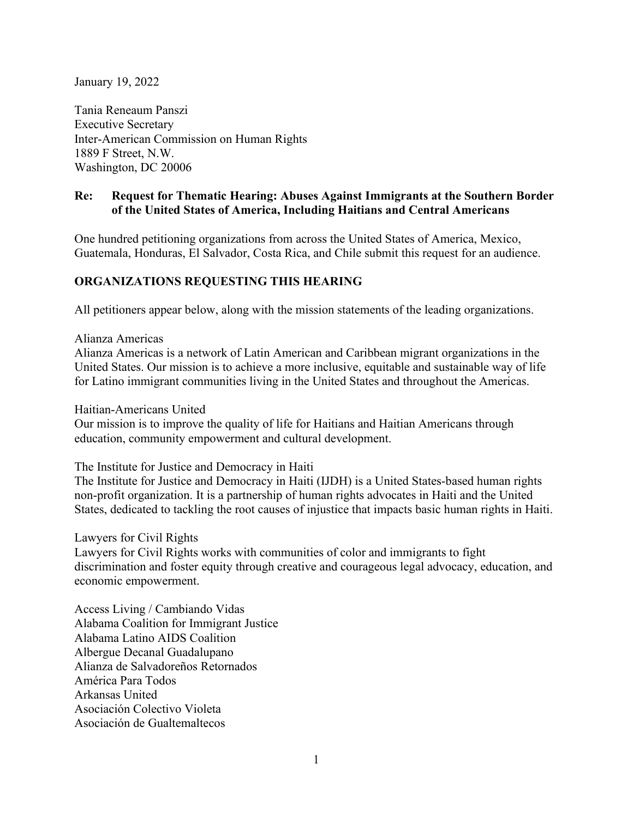January 19, 2022

Tania Reneaum Panszi Executive Secretary Inter-American Commission on Human Rights 1889 F Street, N.W. Washington, DC 20006

#### **Re: Request for Thematic Hearing: Abuses Against Immigrants at the Southern Border of the United States of America, Including Haitians and Central Americans**

One hundred petitioning organizations from across the United States of America, Mexico, Guatemala, Honduras, El Salvador, Costa Rica, and Chile submit this request for an audience.

#### **ORGANIZATIONS REQUESTING THIS HEARING**

All petitioners appear below, along with the mission statements of the leading organizations.

Alianza Americas

Alianza Americas is a network of Latin American and Caribbean migrant organizations in the United States. Our mission is to achieve a more inclusive, equitable and sustainable way of life for Latino immigrant communities living in the United States and throughout the Americas.

Haitian-Americans United

Our mission is to improve the quality of life for Haitians and Haitian Americans through education, community empowerment and cultural development.

The Institute for Justice and Democracy in Haiti

The Institute for Justice and Democracy in Haiti (IJDH) is a United States-based human rights non-profit organization. It is a partnership of human rights advocates in Haiti and the United States, dedicated to tackling the root causes of injustice that impacts basic human rights in Haiti.

Lawyers for Civil Rights

Lawyers for Civil Rights works with communities of color and immigrants to fight discrimination and foster equity through creative and courageous legal advocacy, education, and economic empowerment.

Access Living / Cambiando Vidas Alabama Coalition for Immigrant Justice Alabama Latino AIDS Coalition Albergue Decanal Guadalupano Alianza de Salvadoreños Retornados América Para Todos Arkansas United Asociación Colectivo Violeta Asociación de Gualtemaltecos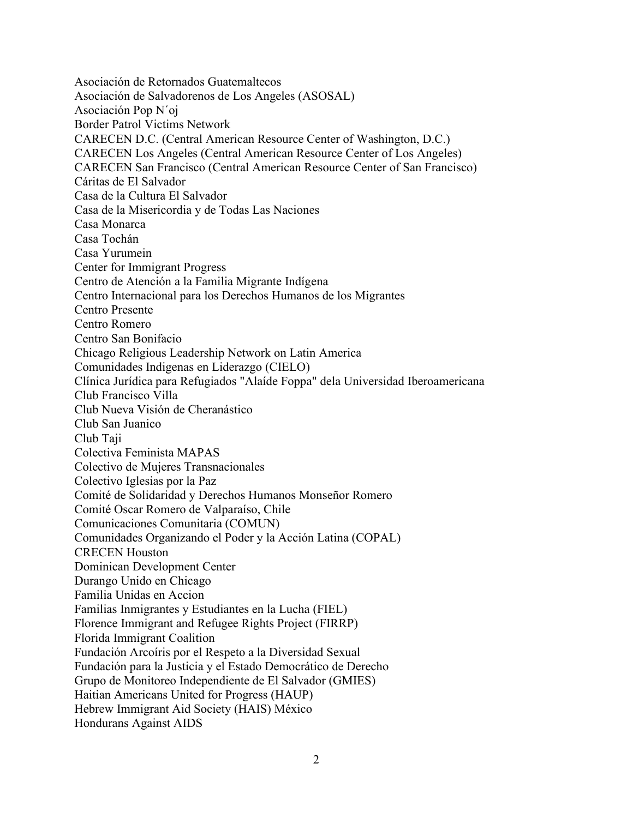Asociación de Retornados Guatemaltecos Asociación de Salvadorenos de Los Angeles (ASOSAL) Asociación Pop N´oj Border Patrol Victims Network CARECEN D.C. (Central American Resource Center of Washington, D.C.) CARECEN Los Angeles (Central American Resource Center of Los Angeles) CARECEN San Francisco (Central American Resource Center of San Francisco) Cáritas de El Salvador Casa de la Cultura El Salvador Casa de la Misericordia y de Todas Las Naciones Casa Monarca Casa Tochán Casa Yurumein Center for Immigrant Progress Centro de Atención a la Familia Migrante Indígena Centro Internacional para los Derechos Humanos de los Migrantes Centro Presente Centro Romero Centro San Bonifacio Chicago Religious Leadership Network on Latin America Comunidades Indigenas en Liderazgo (CIELO) Clínica Jurídica para Refugiados "Alaíde Foppa" dela Universidad Iberoamericana Club Francisco Villa Club Nueva Visión de Cheranástico Club San Juanico Club Taji Colectiva Feminista MAPAS Colectivo de Mujeres Transnacionales Colectivo Iglesias por la Paz Comité de Solidaridad y Derechos Humanos Monseñor Romero Comité Oscar Romero de Valparaíso, Chile Comunicaciones Comunitaria (COMUN) Comunidades Organizando el Poder y la Acción Latina (COPAL) CRECEN Houston Dominican Development Center Durango Unido en Chicago Familia Unidas en Accion Familias Inmigrantes y Estudiantes en la Lucha (FIEL) Florence Immigrant and Refugee Rights Project (FIRRP) Florida Immigrant Coalition Fundación Arcoíris por el Respeto a la Diversidad Sexual Fundación para la Justicia y el Estado Democrático de Derecho Grupo de Monitoreo Independiente de El Salvador (GMIES) Haitian Americans United for Progress (HAUP) Hebrew Immigrant Aid Society (HAIS) México Hondurans Against AIDS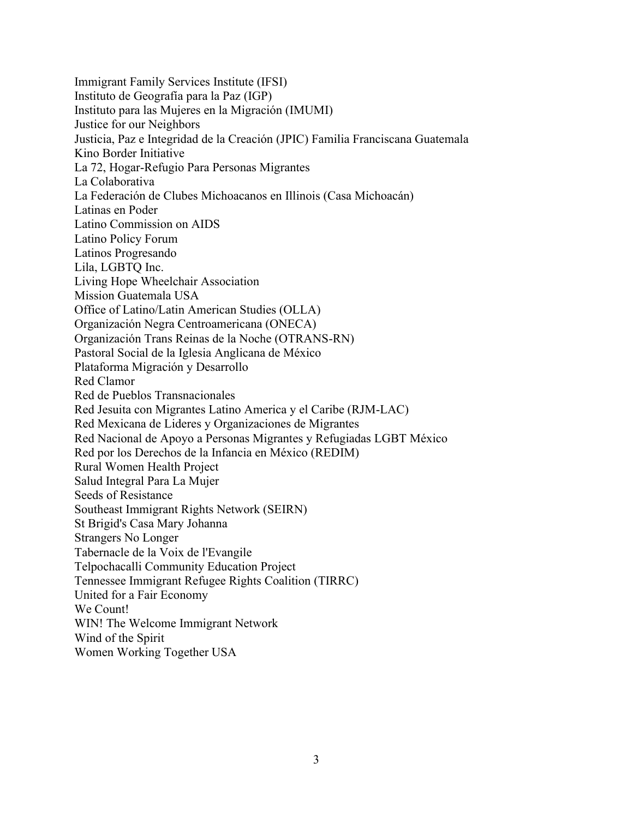Immigrant Family Services Institute (IFSI) Instituto de Geografía para la Paz (IGP) Instituto para las Mujeres en la Migración (IMUMI) Justice for our Neighbors Justicia, Paz e Integridad de la Creación (JPIC) Familia Franciscana Guatemala Kino Border Initiative La 72, Hogar-Refugio Para Personas Migrantes La Colaborativa La Federación de Clubes Michoacanos en Illinois (Casa Michoacán) Latinas en Poder Latino Commission on AIDS Latino Policy Forum Latinos Progresando Lila, LGBTQ Inc. Living Hope Wheelchair Association Mission Guatemala USA Office of Latino/Latin American Studies (OLLA) Organización Negra Centroamericana (ONECA) Organización Trans Reinas de la Noche (OTRANS-RN) Pastoral Social de la Iglesia Anglicana de México Plataforma Migración y Desarrollo Red Clamor Red de Pueblos Transnacionales Red Jesuita con Migrantes Latino America y el Caribe (RJM-LAC) Red Mexicana de Lideres y Organizaciones de Migrantes Red Nacional de Apoyo a Personas Migrantes y Refugiadas LGBT México Red por los Derechos de la Infancia en México (REDIM) Rural Women Health Project Salud Integral Para La Mujer Seeds of Resistance Southeast Immigrant Rights Network (SEIRN) St Brigid's Casa Mary Johanna Strangers No Longer Tabernacle de la Voix de l'Evangile Telpochacalli Community Education Project Tennessee Immigrant Refugee Rights Coalition (TIRRC) United for a Fair Economy We Count! WIN! The Welcome Immigrant Network Wind of the Spirit Women Working Together USA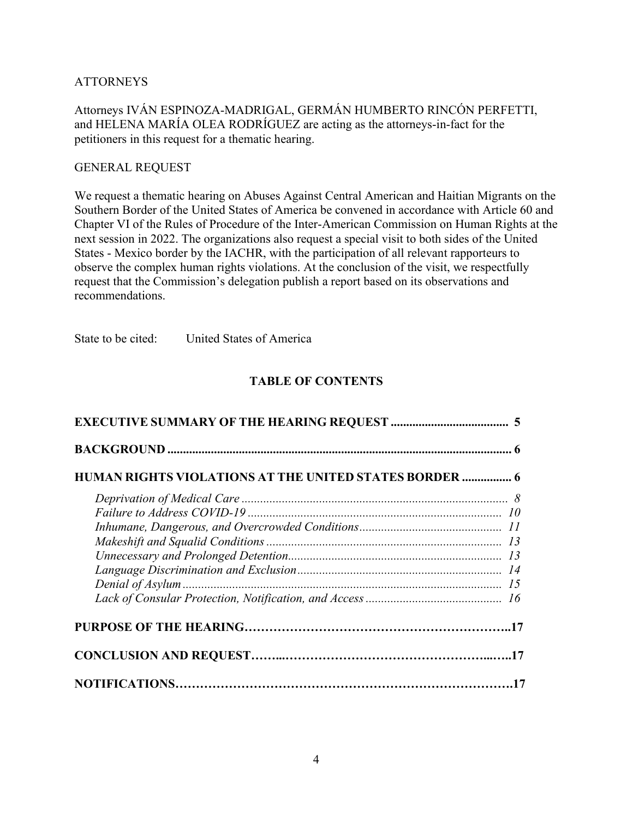# ATTORNEYS

Attorneys IVÁN ESPINOZA-MADRIGAL, GERMÁN HUMBERTO RINCÓN PERFETTI, and HELENA MARÍA OLEA RODRÍGUEZ are acting as the attorneys-in-fact for the petitioners in this request for a thematic hearing.

#### GENERAL REQUEST

We request a thematic hearing on Abuses Against Central American and Haitian Migrants on the Southern Border of the United States of America be convened in accordance with Article 60 and Chapter VI of the Rules of Procedure of the Inter-American Commission on Human Rights at the next session in 2022. The organizations also request a special visit to both sides of the United States - Mexico border by the IACHR, with the participation of all relevant rapporteurs to observe the complex human rights violations. At the conclusion of the visit, we respectfully request that the Commission's delegation publish a report based on its observations and recommendations.

State to be cited: United States of America

# **TABLE OF CONTENTS**

| <b>HUMAN RIGHTS VIOLATIONS AT THE UNITED STATES BORDER  6</b> |  |
|---------------------------------------------------------------|--|
|                                                               |  |
|                                                               |  |
|                                                               |  |
|                                                               |  |
|                                                               |  |
|                                                               |  |
|                                                               |  |
|                                                               |  |
|                                                               |  |
|                                                               |  |
|                                                               |  |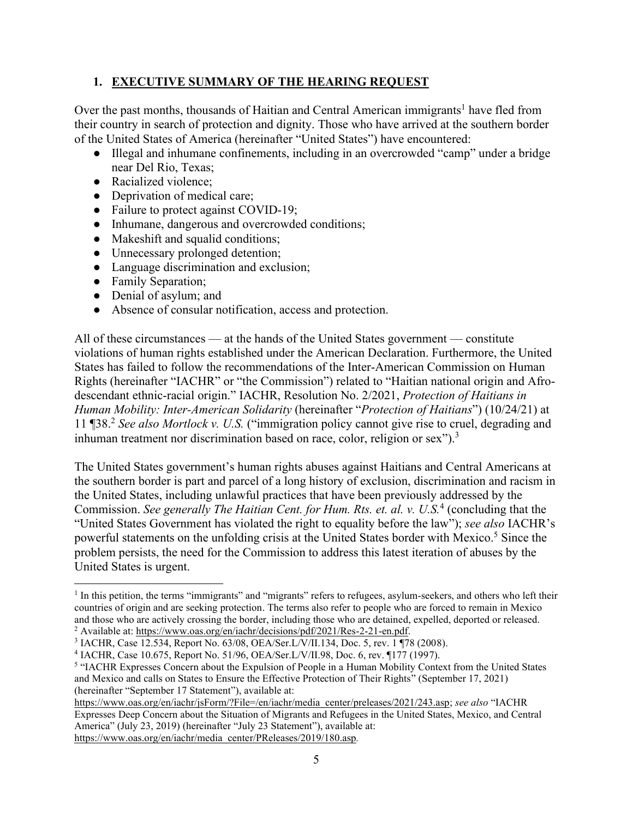# **1. EXECUTIVE SUMMARY OF THE HEARING REQUEST**

Over the past months, thousands of Haitian and Central American immigrants<sup>1</sup> have fled from their country in search of protection and dignity. Those who have arrived at the southern border of the United States of America (hereinafter "United States") have encountered:

- Illegal and inhumane confinements, including in an overcrowded "camp" under a bridge near Del Rio, Texas;
- Racialized violence;
- Deprivation of medical care;
- Failure to protect against COVID-19;
- Inhumane, dangerous and overcrowded conditions;
- Makeshift and squalid conditions;
- Unnecessary prolonged detention;
- Language discrimination and exclusion;
- Family Separation;
- Denial of asylum; and
- Absence of consular notification, access and protection.

All of these circumstances — at the hands of the United States government — constitute violations of human rights established under the American Declaration. Furthermore, the United States has failed to follow the recommendations of the Inter-American Commission on Human Rights (hereinafter "IACHR" or "the Commission") related to "Haitian national origin and Afrodescendant ethnic-racial origin." IACHR, Resolution No. 2/2021, *Protection of Haitians in Human Mobility: Inter-American Solidarity* (hereinafter "*Protection of Haitians*") (10/24/21) at 11 ¶38.<sup>2</sup> *See also Mortlock v. U.S.* ("immigration policy cannot give rise to cruel, degrading and inhuman treatment nor discrimination based on race, color, religion or sex").<sup>3</sup>

The United States government's human rights abuses against Haitians and Central Americans at the southern border is part and parcel of a long history of exclusion, discrimination and racism in the United States, including unlawful practices that have been previously addressed by the Commission. *See generally The Haitian Cent. for Hum. Rts. et. al. v. U.S.*<sup>4</sup> (concluding that the "United States Government has violated the right to equality before the law"); *see also* IACHR's powerful statements on the unfolding crisis at the United States border with Mexico.<sup>5</sup> Since the problem persists, the need for the Commission to address this latest iteration of abuses by the United States is urgent.

<sup>&</sup>lt;sup>1</sup> In this petition, the terms "immigrants" and "migrants" refers to refugees, asylum-seekers, and others who left their countries of origin and are seeking protection. The terms also refer to people who are forced to remain in Mexico and those who are actively crossing the border, including those who are detained, expelled, deported or released. <sup>2</sup> Available at[: https://www.oas.org/en/iachr/decisions/pdf/2021/Res-2-21-en.pdf.](https://www.oas.org/en/iachr/decisions/pdf/2021/Res-2-21-en.pdf)

<sup>3</sup> IACHR, Case 12.534, Report No. 63/08, OEA/Ser.L/V/II.134, Doc. 5, rev. 1 ¶78 (2008).

<sup>4</sup> IACHR, Case 10.675, Report No. 51/96, OEA/Ser.L/V/II.98, Doc. 6, rev. ¶177 (1997).

<sup>&</sup>lt;sup>5</sup> "IACHR Expresses Concern about the Expulsion of People in a Human Mobility Context from the United States and Mexico and calls on States to Ensure the Effective Protection of Their Rights" (September 17, 2021) (hereinafter "September 17 Statement"), available at:

[https://www.oas.org/en/iachr/jsForm/?File=/en/iachr/media\\_center/preleases/2021/243.asp;](https://www.oas.org/en/iachr/jsForm/?File=/en/iachr/media_center/preleases/2021/243.asp) *see also* "IACHR Expresses Deep Concern about the Situation of Migrants and Refugees in the United States, Mexico, and Central America" (July 23, 2019) (hereinafter "July 23 Statement"), available at: [https://www.oas.org/en/iachr/media\\_center/PReleases/2019/180.asp](https://www.oas.org/en/iachr/media_center/PReleases/2019/180.asp)*.*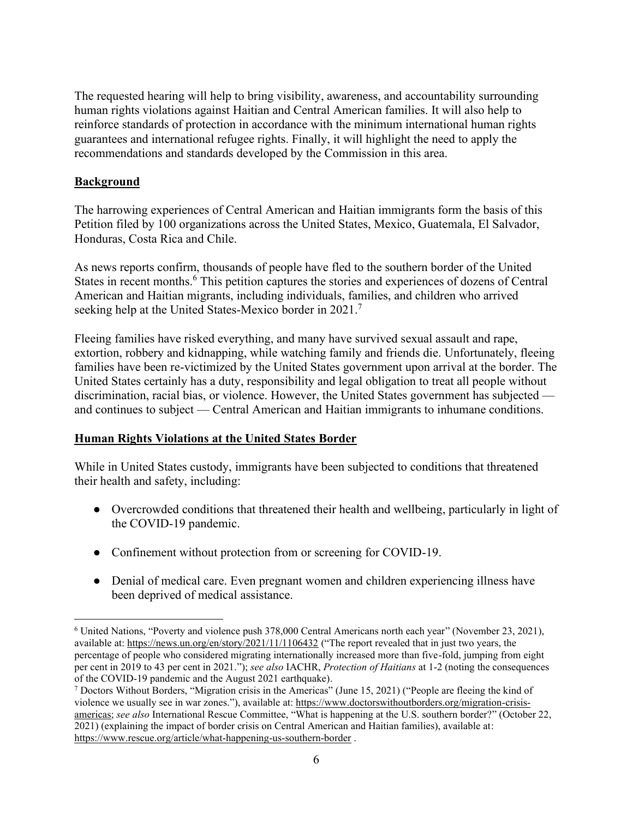The requested hearing will help to bring visibility, awareness, and accountability surrounding human rights violations against Haitian and Central American families. It will also help to reinforce standards of protection in accordance with the minimum international human rights guarantees and international refugee rights. Finally, it will highlight the need to apply the recommendations and standards developed by the Commission in this area.

#### **Background**

The harrowing experiences of Central American and Haitian immigrants form the basis of this Petition filed by 100 organizations across the United States, Mexico, Guatemala, El Salvador, Honduras, Costa Rica and Chile.

As news reports confirm, thousands of people have fled to the southern border of the United States in recent months.<sup>6</sup> This petition captures the stories and experiences of dozens of Central American and Haitian migrants, including individuals, families, and children who arrived seeking help at the United States-Mexico border in 2021.<sup>7</sup>

Fleeing families have risked everything, and many have survived sexual assault and rape, extortion, robbery and kidnapping, while watching family and friends die. Unfortunately, fleeing families have been re-victimized by the United States government upon arrival at the border. The United States certainly has a duty, responsibility and legal obligation to treat all people without discrimination, racial bias, or violence. However, the United States government has subjected and continues to subject — Central American and Haitian immigrants to inhumane conditions.

# **Human Rights Violations at the United States Border**

While in United States custody, immigrants have been subjected to conditions that threatened their health and safety, including:

- Overcrowded conditions that threatened their health and wellbeing, particularly in light of the COVID-19 pandemic.
- Confinement without protection from or screening for COVID-19.
- Denial of medical care. Even pregnant women and children experiencing illness have been deprived of medical assistance.

<sup>&</sup>lt;sup>6</sup> United Nations, "Poverty and violence push 378,000 Central Americans north each year" (November 23, 2021), available at:<https://news.un.org/en/story/2021/11/1106432>("The report revealed that in just two years, the percentage of people who considered migrating internationally increased more than five-fold, jumping from eight per cent in 2019 to 43 per cent in 2021."); *see also* IACHR, *Protection of Haitians* at 1-2 (noting the consequences of the COVID-19 pandemic and the August 2021 earthquake).

<sup>&</sup>lt;sup>7</sup> Doctors Without Borders, "Migration crisis in the Americas" (June 15, 2021) ("People are fleeing the kind of violence we usually see in war zones."), available at: [https://www.doctorswithoutborders.org/migration-crisis](https://www.doctorswithoutborders.org/migration-crisis-americas)[americas;](https://www.doctorswithoutborders.org/migration-crisis-americas) *see also* International Rescue Committee, "What is happening at the U.S. southern border?" (October 22, 2021) (explaining the impact of border crisis on Central American and Haitian families), available at: <https://www.rescue.org/article/what-happening-us-southern-border>.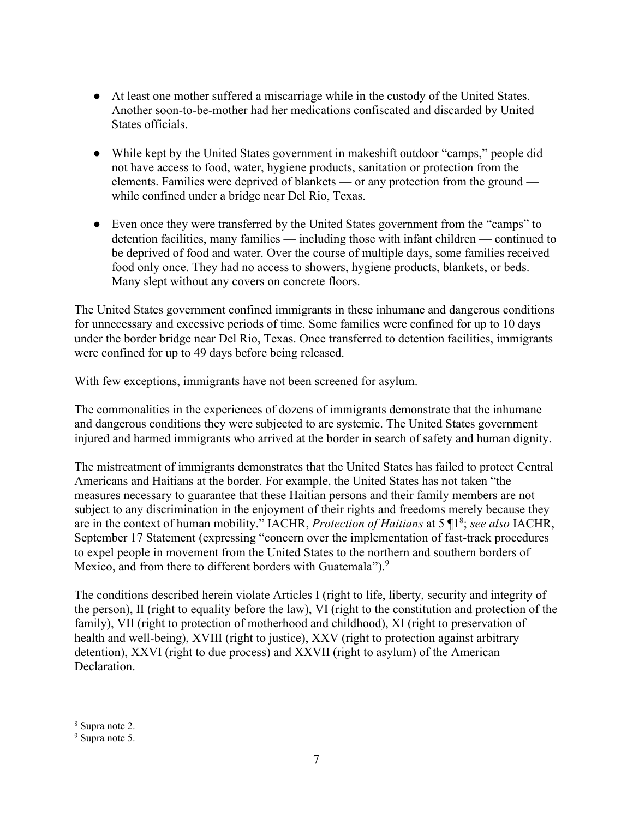- At least one mother suffered a miscarriage while in the custody of the United States. Another soon-to-be-mother had her medications confiscated and discarded by United States officials.
- While kept by the United States government in makeshift outdoor "camps," people did not have access to food, water, hygiene products, sanitation or protection from the elements. Families were deprived of blankets — or any protection from the ground while confined under a bridge near Del Rio, Texas.
- Even once they were transferred by the United States government from the "camps" to detention facilities, many families — including those with infant children — continued to be deprived of food and water. Over the course of multiple days, some families received food only once. They had no access to showers, hygiene products, blankets, or beds. Many slept without any covers on concrete floors.

The United States government confined immigrants in these inhumane and dangerous conditions for unnecessary and excessive periods of time. Some families were confined for up to 10 days under the border bridge near Del Rio, Texas. Once transferred to detention facilities, immigrants were confined for up to 49 days before being released.

With few exceptions, immigrants have not been screened for asylum.

The commonalities in the experiences of dozens of immigrants demonstrate that the inhumane and dangerous conditions they were subjected to are systemic. The United States government injured and harmed immigrants who arrived at the border in search of safety and human dignity.

The mistreatment of immigrants demonstrates that the United States has failed to protect Central Americans and Haitians at the border. For example, the United States has not taken "the measures necessary to guarantee that these Haitian persons and their family members are not subject to any discrimination in the enjoyment of their rights and freedoms merely because they are in the context of human mobility." IACHR, *Protection of Haitians* at 5 ¶1<sup>8</sup> ; *see also* IACHR, September 17 Statement (expressing "concern over the implementation of fast-track procedures to expel people in movement from the United States to the northern and southern borders of Mexico, and from there to different borders with Guatemala").<sup>9</sup>

The conditions described herein violate Articles I (right to life, liberty, security and integrity of the person), II (right to equality before the law), VI (right to the constitution and protection of the family), VII (right to protection of motherhood and childhood), XI (right to preservation of health and well-being), XVIII (right to justice), XXV (right to protection against arbitrary detention), XXVI (right to due process) and XXVII (right to asylum) of the American Declaration.

<sup>8</sup> Supra note 2.

<sup>&</sup>lt;sup>9</sup> Supra note 5.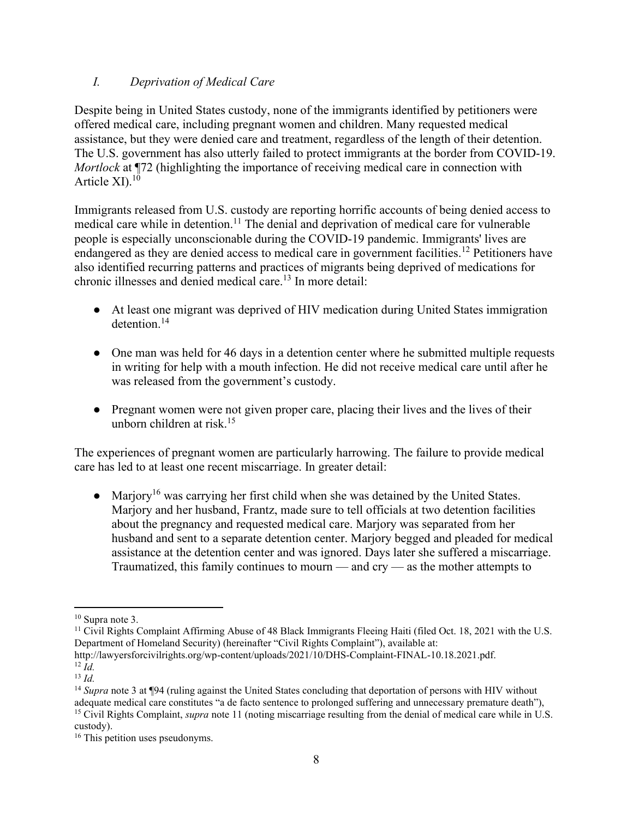# *I. Deprivation of Medical Care*

Despite being in United States custody, none of the immigrants identified by petitioners were offered medical care, including pregnant women and children. Many requested medical assistance, but they were denied care and treatment, regardless of the length of their detention. The U.S. government has also utterly failed to protect immigrants at the border from COVID-19. *Mortlock* at ¶72 (highlighting the importance of receiving medical care in connection with Article  $XI$ ).<sup>10</sup>

Immigrants released from U.S. custody are reporting horrific accounts of being denied access to  $\frac{1}{2}$  medical care while in detention.<sup>11</sup> The denial and deprivation of medical care for vulnerable people is especially unconscionable during the COVID-19 pandemic. Immigrants' lives are endangered as they are denied access to medical care in government facilities.<sup>12</sup> Petitioners have also identified recurring patterns and practices of migrants being deprived of medications for chronic illnesses and denied medical care.<sup>13</sup> In more detail:

- At least one migrant was deprived of HIV medication during United States immigration detention.<sup>14</sup>
- One man was held for 46 days in a detention center where he submitted multiple requests in writing for help with a mouth infection. He did not receive medical care until after he was released from the government's custody.
- Pregnant women were not given proper care, placing their lives and the lives of their unborn children at risk.<sup>15</sup>

The experiences of pregnant women are particularly harrowing. The failure to provide medical care has led to at least one recent miscarriage. In greater detail:

• Marjory<sup>16</sup> was carrying her first child when she was detained by the United States. Marjory and her husband, Frantz, made sure to tell officials at two detention facilities about the pregnancy and requested medical care. Marjory was separated from her husband and sent to a separate detention center. Marjory begged and pleaded for medical assistance at the detention center and was ignored. Days later she suffered a miscarriage. Traumatized, this family continues to mourn — and cry — as the mother attempts to

<sup>10</sup> Supra note 3.

<sup>&</sup>lt;sup>11</sup> Civil Rights Complaint Affirming Abuse of 48 Black Immigrants Fleeing Haiti (filed Oct. 18, 2021 with the U.S. Department of Homeland Security) (hereinafter "Civil Rights Complaint"), available at:

http://lawyersforcivilrights.org/wp-content/uploads/2021/10/DHS-Complaint-FINAL-10.18.2021.pdf.  $12$  *Id.* 

 $13$  *Id.* 

<sup>&</sup>lt;sup>14</sup> *Supra* note 3 at ¶94 (ruling against the United States concluding that deportation of persons with HIV without adequate medical care constitutes "a de facto sentence to prolonged suffering and unnecessary premature death"), <sup>15</sup> Civil Rights Complaint, *supra* note 11 (noting miscarriage resulting from the denial of medical care while in U.S. custody).

<sup>&</sup>lt;sup>16</sup> This petition uses pseudonyms.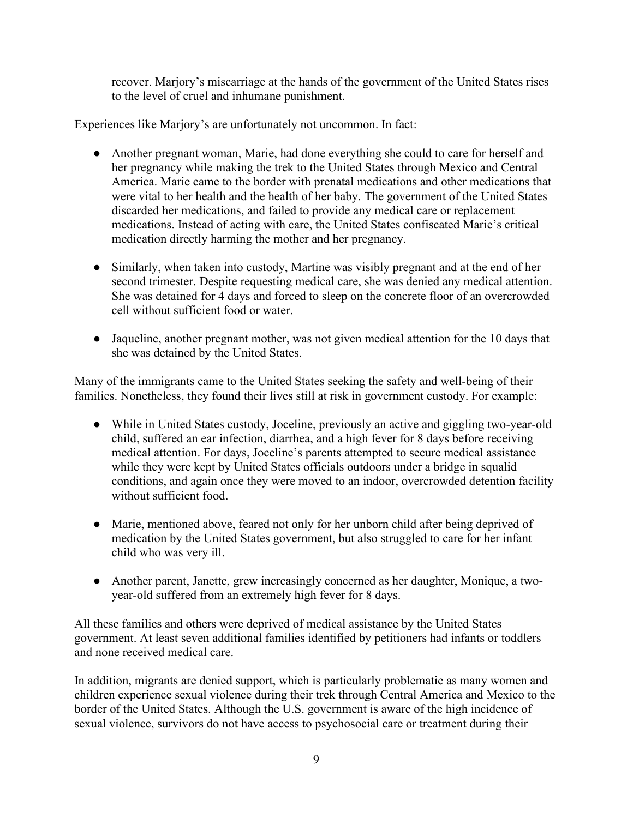recover. Marjory's miscarriage at the hands of the government of the United States rises to the level of cruel and inhumane punishment.

Experiences like Marjory's are unfortunately not uncommon. In fact:

- Another pregnant woman, Marie, had done everything she could to care for herself and her pregnancy while making the trek to the United States through Mexico and Central America. Marie came to the border with prenatal medications and other medications that were vital to her health and the health of her baby. The government of the United States discarded her medications, and failed to provide any medical care or replacement medications. Instead of acting with care, the United States confiscated Marie's critical medication directly harming the mother and her pregnancy.
- Similarly, when taken into custody, Martine was visibly pregnant and at the end of her second trimester. Despite requesting medical care, she was denied any medical attention. She was detained for 4 days and forced to sleep on the concrete floor of an overcrowded cell without sufficient food or water.
- Jaqueline, another pregnant mother, was not given medical attention for the 10 days that she was detained by the United States.

Many of the immigrants came to the United States seeking the safety and well-being of their families. Nonetheless, they found their lives still at risk in government custody. For example:

- While in United States custody, Joceline, previously an active and giggling two-year-old child, suffered an ear infection, diarrhea, and a high fever for 8 days before receiving medical attention. For days, Joceline's parents attempted to secure medical assistance while they were kept by United States officials outdoors under a bridge in squalid conditions, and again once they were moved to an indoor, overcrowded detention facility without sufficient food.
- Marie, mentioned above, feared not only for her unborn child after being deprived of medication by the United States government, but also struggled to care for her infant child who was very ill.
- Another parent, Janette, grew increasingly concerned as her daughter, Monique, a twoyear-old suffered from an extremely high fever for 8 days.

All these families and others were deprived of medical assistance by the United States government. At least seven additional families identified by petitioners had infants or toddlers – and none received medical care.

In addition, migrants are denied support, which is particularly problematic as many women and children experience sexual violence during their trek through Central America and Mexico to the border of the United States. Although the U.S. government is aware of the high incidence of sexual violence, survivors do not have access to psychosocial care or treatment during their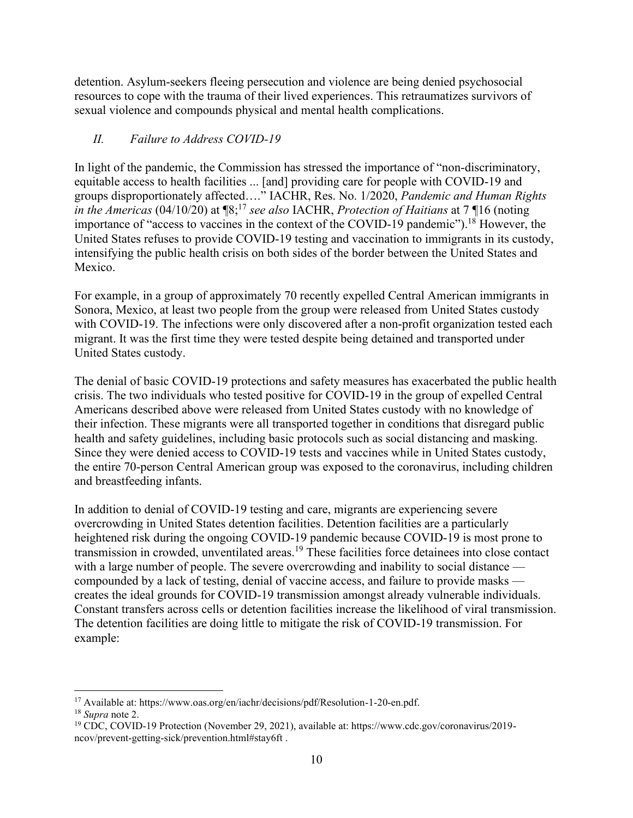detention. Asylum-seekers fleeing persecution and violence are being denied psychosocial resources to cope with the trauma of their lived experiences. This retraumatizes survivors of sexual violence and compounds physical and mental health complications.

# *II. Failure to Address COVID-19*

In light of the pandemic, the Commission has stressed the importance of "non-discriminatory, equitable access to health facilities ... [and] providing care for people with COVID-19 and groups disproportionately affected…." IACHR, Res. No. 1/2020, *Pandemic and Human Rights in the Americas* (04/10/20) at ¶8;<sup>17</sup> *see also* IACHR, *Protection of Haitians* at 7 ¶16 (noting importance of "access to vaccines in the context of the COVID-19 pandemic").<sup>18</sup> However, the United States refuses to provide COVID-19 testing and vaccination to immigrants in its custody, intensifying the public health crisis on both sides of the border between the United States and Mexico.

For example, in a group of approximately 70 recently expelled Central American immigrants in Sonora, Mexico, at least two people from the group were released from United States custody with COVID-19. The infections were only discovered after a non-profit organization tested each migrant. It was the first time they were tested despite being detained and transported under United States custody.

The denial of basic COVID-19 protections and safety measures has exacerbated the public health crisis. The two individuals who tested positive for COVID-19 in the group of expelled Central Americans described above were released from United States custody with no knowledge of their infection. These migrants were all transported together in conditions that disregard public health and safety guidelines, including basic protocols such as social distancing and masking. Since they were denied access to COVID-19 tests and vaccines while in United States custody, the entire 70-person Central American group was exposed to the coronavirus, including children and breastfeeding infants.

In addition to denial of COVID-19 testing and care, migrants are experiencing severe overcrowding in United States detention facilities. Detention facilities are a particularly heightened risk during the ongoing COVID-19 pandemic because COVID-19 is most prone to transmission in crowded, unventilated areas.<sup>19</sup> These facilities force detainees into close contact with a large number of people. The severe overcrowding and inability to social distance compounded by a lack of testing, denial of vaccine access, and failure to provide masks creates the ideal grounds for COVID-19 transmission amongst already vulnerable individuals. Constant transfers across cells or detention facilities increase the likelihood of viral transmission. The detention facilities are doing little to mitigate the risk of COVID-19 transmission. For example:

<sup>&</sup>lt;sup>17</sup> Available at: https://www.oas.org/en/iachr/decisions/pdf/Resolution-1-20-en.pdf.

<sup>18</sup> *Supra* note 2.

<sup>19</sup> CDC, COVID-19 Protection (November 29, 2021), available at: https://www.cdc.gov/coronavirus/2019 ncov/prevent-getting-sick/prevention.html#stay6ft .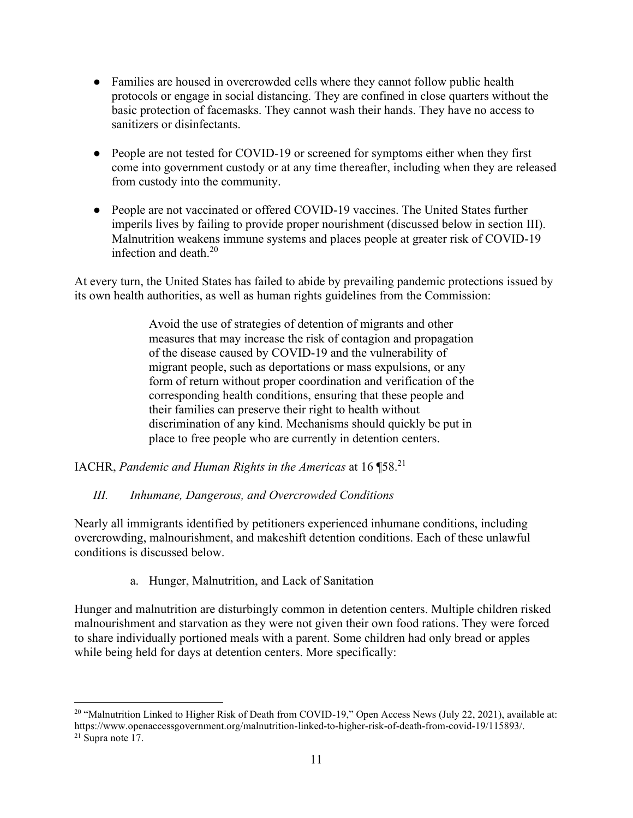- Families are housed in overcrowded cells where they cannot follow public health protocols or engage in social distancing. They are confined in close quarters without the basic protection of facemasks. They cannot wash their hands. They have no access to sanitizers or disinfectants.
- People are not tested for COVID-19 or screened for symptoms either when they first come into government custody or at any time thereafter, including when they are released from custody into the community.
- People are not vaccinated or offered COVID-19 vaccines. The United States further imperils lives by failing to provide proper nourishment (discussed below in section III). Malnutrition weakens immune systems and places people at greater risk of COVID-19 infection and death.<sup>20</sup>

At every turn, the United States has failed to abide by prevailing pandemic protections issued by its own health authorities, as well as human rights guidelines from the Commission:

> Avoid the use of strategies of detention of migrants and other measures that may increase the risk of contagion and propagation of the disease caused by COVID-19 and the vulnerability of migrant people, such as deportations or mass expulsions, or any form of return without proper coordination and verification of the corresponding health conditions, ensuring that these people and their families can preserve their right to health without discrimination of any kind. Mechanisms should quickly be put in place to free people who are currently in detention centers.

IACHR, *Pandemic and Human Rights in the Americas* at 16 ¶58.<sup>21</sup>

# *III. Inhumane, Dangerous, and Overcrowded Conditions*

Nearly all immigrants identified by petitioners experienced inhumane conditions, including overcrowding, malnourishment, and makeshift detention conditions. Each of these unlawful conditions is discussed below.

a. Hunger, Malnutrition, and Lack of Sanitation

Hunger and malnutrition are disturbingly common in detention centers. Multiple children risked malnourishment and starvation as they were not given their own food rations. They were forced to share individually portioned meals with a parent. Some children had only bread or apples while being held for days at detention centers. More specifically:

<sup>&</sup>lt;sup>20</sup> "Malnutrition Linked to Higher Risk of Death from COVID-19," Open Access News (July 22, 2021), available at: https://www.openaccessgovernment.org/malnutrition-linked-to-higher-risk-of-death-from-covid-19/115893/. 21 Supra note 17.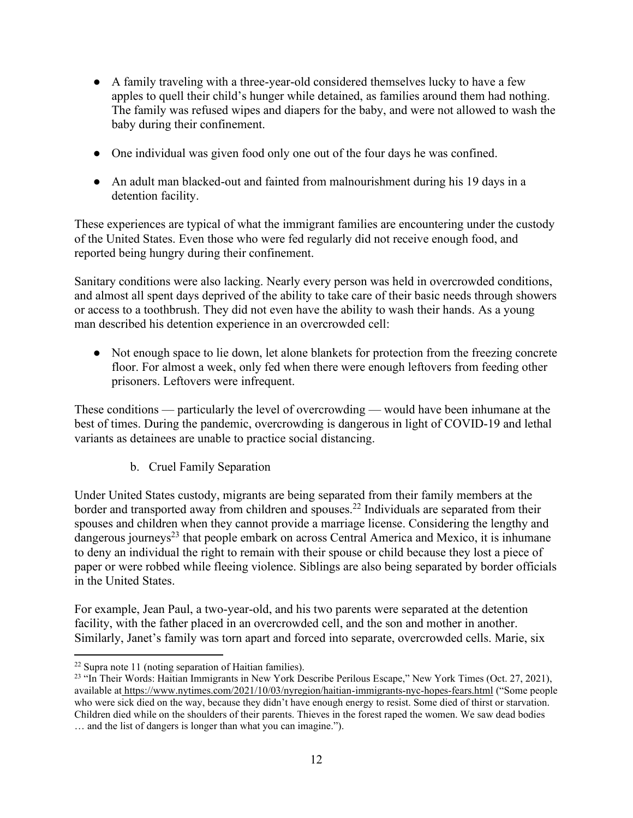- A family traveling with a three-year-old considered themselves lucky to have a few apples to quell their child's hunger while detained, as families around them had nothing. The family was refused wipes and diapers for the baby, and were not allowed to wash the baby during their confinement.
- One individual was given food only one out of the four days he was confined.
- An adult man blacked-out and fainted from malnourishment during his 19 days in a detention facility.

These experiences are typical of what the immigrant families are encountering under the custody of the United States. Even those who were fed regularly did not receive enough food, and reported being hungry during their confinement.

Sanitary conditions were also lacking. Nearly every person was held in overcrowded conditions, and almost all spent days deprived of the ability to take care of their basic needs through showers or access to a toothbrush. They did not even have the ability to wash their hands. As a young man described his detention experience in an overcrowded cell:

• Not enough space to lie down, let alone blankets for protection from the freezing concrete floor. For almost a week, only fed when there were enough leftovers from feeding other prisoners. Leftovers were infrequent.

These conditions — particularly the level of overcrowding — would have been inhumane at the best of times. During the pandemic, overcrowding is dangerous in light of COVID-19 and lethal variants as detainees are unable to practice social distancing.

b. Cruel Family Separation

Under United States custody, migrants are being separated from their family members at the border and transported away from children and spouses.<sup>22</sup> Individuals are separated from their spouses and children when they cannot provide a marriage license. Considering the lengthy and dangerous journeys<sup>23</sup> that people embark on across Central America and Mexico, it is inhumane to deny an individual the right to remain with their spouse or child because they lost a piece of paper or were robbed while fleeing violence. Siblings are also being separated by border officials in the United States.

For example, Jean Paul, a two-year-old, and his two parents were separated at the detention facility, with the father placed in an overcrowded cell, and the son and mother in another. Similarly, Janet's family was torn apart and forced into separate, overcrowded cells. Marie, six

 $22$  Supra note 11 (noting separation of Haitian families).

<sup>&</sup>lt;sup>23</sup> "In Their Words: Haitian Immigrants in New York Describe Perilous Escape," New York Times (Oct. 27, 2021), available a[t https://www.nytimes.com/2021/10/03/nyregion/haitian-immigrants-nyc-hopes-fears.html](https://www.nytimes.com/2021/10/03/nyregion/haitian-immigrants-nyc-hopes-fears.html) ("Some people who were sick died on the way, because they didn't have enough energy to resist. Some died of thirst or starvation. Children died while on the shoulders of their parents. Thieves in the forest raped the women. We saw dead bodies … and the list of dangers is longer than what you can imagine.").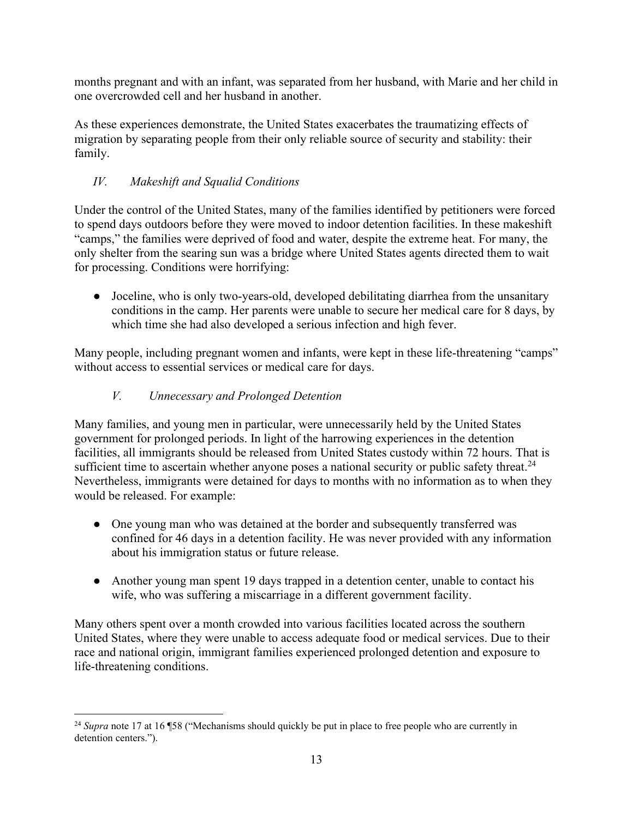months pregnant and with an infant, was separated from her husband, with Marie and her child in one overcrowded cell and her husband in another.

As these experiences demonstrate, the United States exacerbates the traumatizing effects of migration by separating people from their only reliable source of security and stability: their family.

# *IV. Makeshift and Squalid Conditions*

Under the control of the United States, many of the families identified by petitioners were forced to spend days outdoors before they were moved to indoor detention facilities. In these makeshift "camps," the families were deprived of food and water, despite the extreme heat. For many, the only shelter from the searing sun was a bridge where United States agents directed them to wait for processing. Conditions were horrifying:

● Joceline, who is only two-years-old, developed debilitating diarrhea from the unsanitary conditions in the camp. Her parents were unable to secure her medical care for 8 days, by which time she had also developed a serious infection and high fever.

Many people, including pregnant women and infants, were kept in these life-threatening "camps" without access to essential services or medical care for days.

# *V. Unnecessary and Prolonged Detention*

Many families, and young men in particular, were unnecessarily held by the United States government for prolonged periods. In light of the harrowing experiences in the detention facilities, all immigrants should be released from United States custody within 72 hours. That is sufficient time to ascertain whether anyone poses a national security or public safety threat.<sup>24</sup> Nevertheless, immigrants were detained for days to months with no information as to when they would be released. For example:

- One young man who was detained at the border and subsequently transferred was confined for 46 days in a detention facility. He was never provided with any information about his immigration status or future release.
- Another young man spent 19 days trapped in a detention center, unable to contact his wife, who was suffering a miscarriage in a different government facility.

Many others spent over a month crowded into various facilities located across the southern United States, where they were unable to access adequate food or medical services. Due to their race and national origin, immigrant families experienced prolonged detention and exposure to life-threatening conditions.

<sup>&</sup>lt;sup>24</sup> Supra note 17 at 16 ¶58 ("Mechanisms should quickly be put in place to free people who are currently in detention centers.").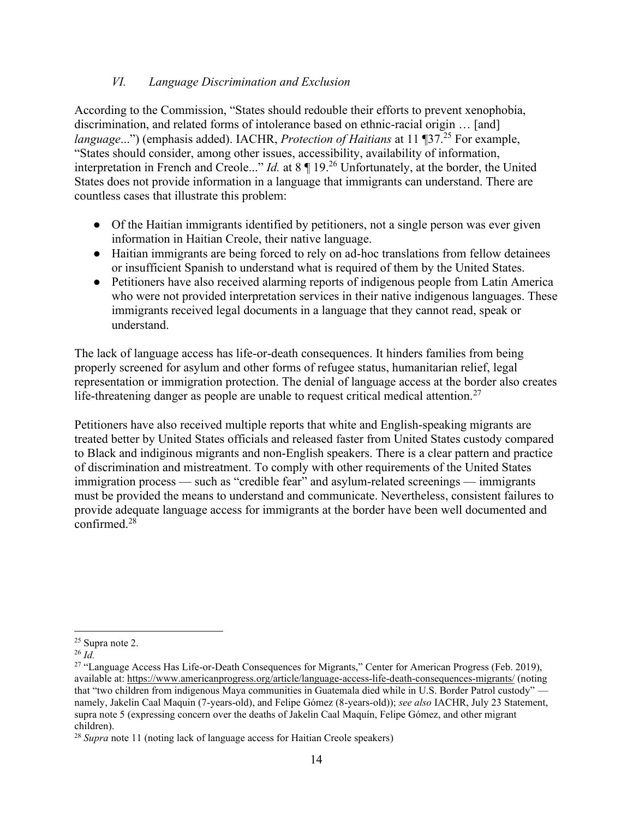# *VI. Language Discrimination and Exclusion*

According to the Commission, "States should redouble their efforts to prevent xenophobia, discrimination, and related forms of intolerance based on ethnic-racial origin … [and] *language...*") (emphasis added). IACHR, *Protection of Haitians* at 11 ¶37.<sup>25</sup> For example, "States should consider, among other issues, accessibility, availability of information, interpretation in French and Creole..." *Id.* at 8 ¶ 19.<sup>26</sup> Unfortunately, at the border, the United States does not provide information in a language that immigrants can understand. There are countless cases that illustrate this problem:

- Of the Haitian immigrants identified by petitioners, not a single person was ever given information in Haitian Creole, their native language.
- Haitian immigrants are being forced to rely on ad-hoc translations from fellow detainees or insufficient Spanish to understand what is required of them by the United States.
- Petitioners have also received alarming reports of indigenous people from Latin America who were not provided interpretation services in their native indigenous languages. These immigrants received legal documents in a language that they cannot read, speak or understand.

The lack of language access has life-or-death consequences. It hinders families from being properly screened for asylum and other forms of refugee status, humanitarian relief, legal representation or immigration protection. The denial of language access at the border also creates life-threatening danger as people are unable to request critical medical attention.<sup>27</sup>

Petitioners have also received multiple reports that white and English-speaking migrants are treated better by United States officials and released faster from United States custody compared to Black and indiginous migrants and non-English speakers. There is a clear pattern and practice of discrimination and mistreatment. To comply with other requirements of the United States immigration process — such as "credible fear" and asylum-related screenings — immigrants must be provided the means to understand and communicate. Nevertheless, consistent failures to provide adequate language access for immigrants at the border have been well documented and  $\frac{1}{28}$ 

<sup>25</sup> Supra note 2.

<sup>26</sup> *Id.*

<sup>&</sup>lt;sup>27</sup> "Language Access Has Life-or-Death Consequences for Migrants," Center for American Progress (Feb. 2019), available at:<https://www.americanprogress.org/article/language-access-life-death-consequences-migrants/>(noting that "two children from indigenous Maya communities in Guatemala died while in U.S. Border Patrol custody" namely, Jakelin Caal Maquin (7-years-old), and Felipe Gómez (8-years-old)); *see also* IACHR, July 23 Statement, supra note 5 (expressing concern over the deaths of Jakelin Caal Maquín, Felipe Gómez, and other migrant children).

<sup>&</sup>lt;sup>28</sup> *Supra* note 11 (noting lack of language access for Haitian Creole speakers)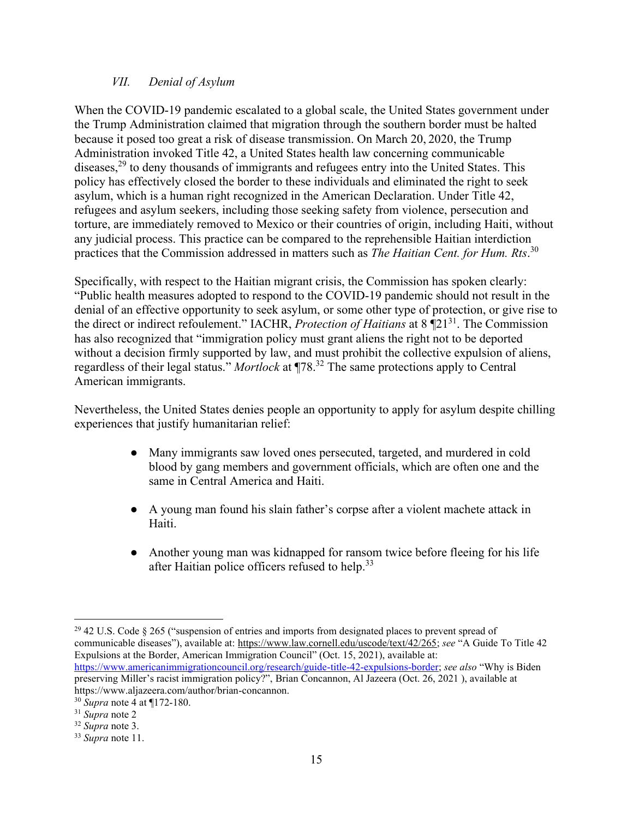#### *VII. Denial of Asylum*

When the COVID-19 pandemic escalated to a global scale, the United States government under the Trump Administration claimed that migration through the southern border must be halted because it posed too great a risk of disease transmission. On March 20, 2020, the Trump Administration invoked Title 42, a United States health law concerning communicable diseases,  $^{29}$  to deny thousands of immigrants and refugees entry into the United States. This policy has effectively closed the border to these individuals and eliminated the right to seek asylum, which is a human right recognized in the American Declaration. Under Title 42, refugees and asylum seekers, including those seeking safety from violence, persecution and torture, are immediately removed to Mexico or their countries of origin, including Haiti, without any judicial process. This practice can be compared to the reprehensible Haitian interdiction practices that the Commission addressed in matters such as *The Haitian Cent. for Hum. Rts*. 30

Specifically, with respect to the Haitian migrant crisis, the Commission has spoken clearly: "Public health measures adopted to respond to the COVID-19 pandemic should not result in the denial of an effective opportunity to seek asylum, or some other type of protection, or give rise to the direct or indirect refoulement." IACHR, *Protection of Haitians* at 8 ¶21<sup>31</sup>. The Commission has also recognized that "immigration policy must grant aliens the right not to be deported without a decision firmly supported by law, and must prohibit the collective expulsion of aliens, regardless of their legal status." *Mortlock* at ¶78.<sup>32</sup> The same protections apply to Central American immigrants.

Nevertheless, the United States denies people an opportunity to apply for asylum despite chilling experiences that justify humanitarian relief:

- Many immigrants saw loved ones persecuted, targeted, and murdered in cold blood by gang members and government officials, which are often one and the same in Central America and Haiti.
- A young man found his slain father's corpse after a violent machete attack in Haiti.
- Another young man was kidnapped for ransom twice before fleeing for his life after Haitian police officers refused to help.<sup>33</sup>

<sup>&</sup>lt;sup>29</sup> 42 U.S. Code § 265 ("suspension of entries and imports from designated places to prevent spread of communicable diseases"), available at: [https://www.law.cornell.edu/uscode/text/42/265;](https://www.law.cornell.edu/uscode/text/42/265) *see* "A Guide To Title 42 Expulsions at the Border, American Immigration Council" (Oct. 15, 2021), available at: [https://www.americanimmigrationcouncil.org/research/guide-title-42-expulsions-border;](https://www.americanimmigrationcouncil.org/research/guide-title-42-expulsions-border) *see also* "Why is Biden preserving Miller's racist immigration policy?", Brian Concannon, Al Jazeera (Oct. 26, 2021 ), available at https://www.aljazeera.com/author/brian-concannon.

<sup>30</sup> *Supra* note 4 at ¶172-180.

<sup>31</sup> *Supra* note 2

<sup>32</sup> *Supra* note 3.

<sup>33</sup> *Supra* note 11.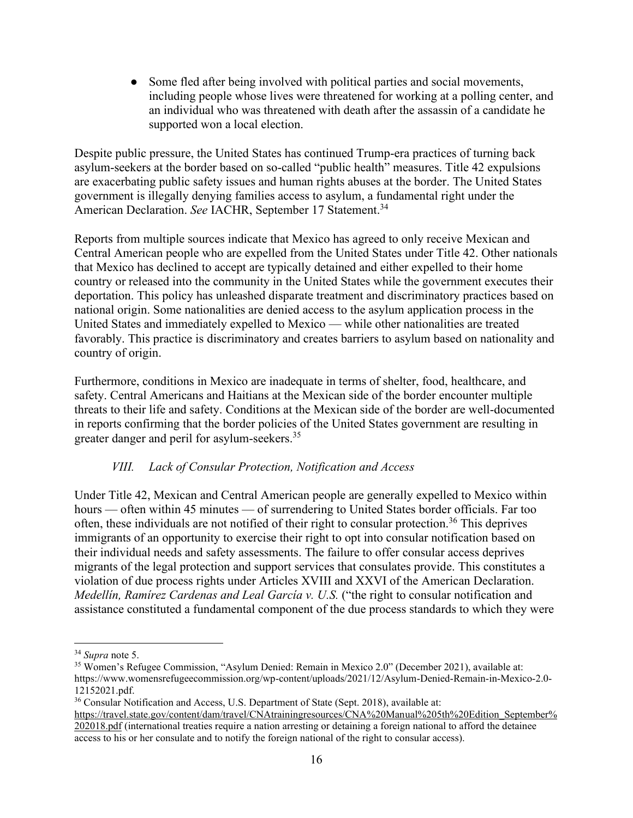• Some fled after being involved with political parties and social movements, including people whose lives were threatened for working at a polling center, and an individual who was threatened with death after the assassin of a candidate he supported won a local election.

Despite public pressure, the United States has continued Trump-era practices of turning back asylum-seekers at the border based on so-called "public health" measures. Title 42 expulsions are exacerbating public safety issues and human rights abuses at the border. The United States government is illegally denying families access to asylum, a fundamental right under the American Declaration. *See* IACHR, September 17 Statement.<sup>34</sup>

Reports from multiple sources indicate that Mexico has agreed to only receive Mexican and Central American people who are expelled from the United States under Title 42. Other nationals that Mexico has declined to accept are typically detained and either expelled to their home country or released into the community in the United States while the government executes their deportation. This policy has unleashed disparate treatment and discriminatory practices based on national origin. Some nationalities are denied access to the asylum application process in the United States and immediately expelled to Mexico — while other nationalities are treated favorably. This practice is discriminatory and creates barriers to asylum based on nationality and country of origin.

Furthermore, conditions in Mexico are inadequate in terms of shelter, food, healthcare, and safety. Central Americans and Haitians at the Mexican side of the border encounter multiple threats to their life and safety. Conditions at the Mexican side of the border are well-documented in reports confirming that the border policies of the United States government are resulting in greater danger and peril for asylum-seekers.<sup>35</sup>

# *VIII. Lack of Consular Protection, Notification and Access*

Under Title 42, Mexican and Central American people are generally expelled to Mexico within hours — often within 45 minutes — of surrendering to United States border officials. Far too often, these individuals are not notified of their right to consular protection.<sup>36</sup> This deprives immigrants of an opportunity to exercise their right to opt into consular notification based on their individual needs and safety assessments. The failure to offer consular access deprives migrants of the legal protection and support services that consulates provide. This constitutes a violation of due process rights under Articles XVIII and XXVI of the American Declaration. *Medellín, Ramírez Cardenas and Leal García v. U.S.* ("the right to consular notification and assistance constituted a fundamental component of the due process standards to which they were

<sup>34</sup> *Supra* note 5.

<sup>35</sup> Women's Refugee Commission, "Asylum Denied: Remain in Mexico 2.0" (December 2021), available at: https://www.womensrefugeecommission.org/wp-content/uploads/2021/12/Asylum-Denied-Remain-in-Mexico-2.0- 12152021.pdf.

<sup>&</sup>lt;sup>36</sup> Consular Notification and Access, U.S. Department of State (Sept. 2018), available at:

[https://travel.state.gov/content/dam/travel/CNAtrainingresources/CNA%20Manual%205th%20Edition\\_September%](https://travel.state.gov/content/dam/travel/CNAtrainingresources/CNA%20Manual%205th%20Edition_September%202018.pdf) [202018.pdf](https://travel.state.gov/content/dam/travel/CNAtrainingresources/CNA%20Manual%205th%20Edition_September%202018.pdf) (international treaties require a nation arresting or detaining a foreign national to afford the detainee access to his or her consulate and to notify the foreign national of the right to consular access).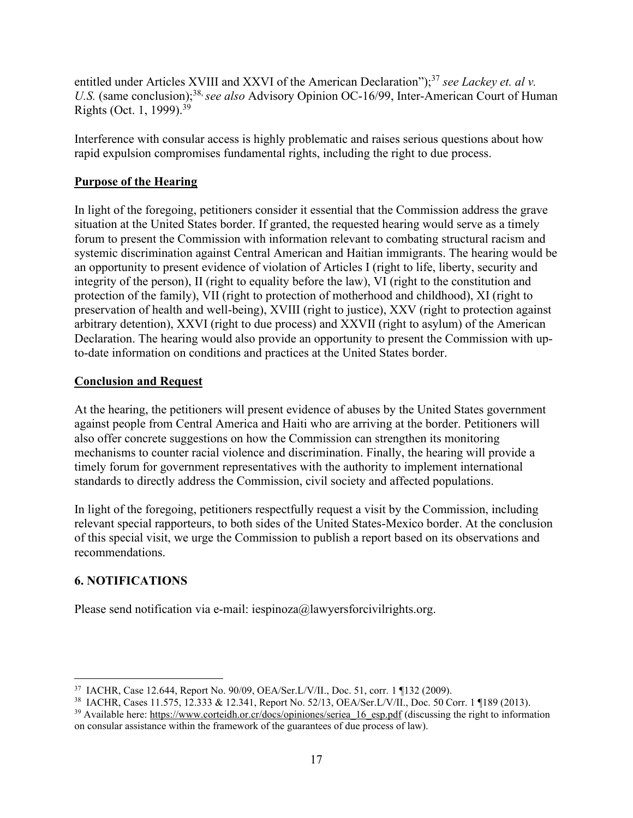entitled under Articles XVIII and XXVI of the American Declaration");<sup>37</sup> see Lackey et. al v. U.S. (same conclusion);<sup>38,</sup> see also Advisory Opinion OC-16/99, Inter-American Court of Human Rights (Oct. 1, 1999).<sup>39</sup>

Interference with consular access is highly problematic and raises serious questions about how rapid expulsion compromises fundamental rights, including the right to due process.

#### **Purpose of the Hearing**

In light of the foregoing, petitioners consider it essential that the Commission address the grave situation at the United States border. If granted, the requested hearing would serve as a timely forum to present the Commission with information relevant to combating structural racism and systemic discrimination against Central American and Haitian immigrants. The hearing would be an opportunity to present evidence of violation of Articles I (right to life, liberty, security and integrity of the person), II (right to equality before the law), VI (right to the constitution and protection of the family), VII (right to protection of motherhood and childhood), XI (right to preservation of health and well-being), XVIII (right to justice), XXV (right to protection against arbitrary detention), XXVI (right to due process) and XXVII (right to asylum) of the American Declaration. The hearing would also provide an opportunity to present the Commission with upto-date information on conditions and practices at the United States border.

#### **Conclusion and Request**

At the hearing, the petitioners will present evidence of abuses by the United States government against people from Central America and Haiti who are arriving at the border. Petitioners will also offer concrete suggestions on how the Commission can strengthen its monitoring mechanisms to counter racial violence and discrimination. Finally, the hearing will provide a timely forum for government representatives with the authority to implement international standards to directly address the Commission, civil society and affected populations.

In light of the foregoing, petitioners respectfully request a visit by the Commission, including relevant special rapporteurs, to both sides of the United States-Mexico border. At the conclusion of this special visit, we urge the Commission to publish a report based on its observations and recommendations.

# **6. NOTIFICATIONS**

Please send notification via e-mail: iespinoza@lawyersforcivilrights.org.

<sup>37</sup> IACHR, Case 12.644, Report No. 90/09, OEA/Ser.L/V/II., Doc. 51, corr. 1 ¶132 (2009).

<sup>38</sup> IACHR, Cases 11.575, 12.333 & 12.341, Report No. 52/13, OEA/Ser.L/V/II., Doc. 50 Corr. 1 ¶189 (2013).

<sup>&</sup>lt;sup>39</sup> Available here: [https://www.corteidh.or.cr/docs/opiniones/seriea\\_16\\_esp.pdf](https://www.corteidh.or.cr/docs/opiniones/seriea_16_esp.pdf) (discussing the right to information on consular assistance within the framework of the guarantees of due process of law).